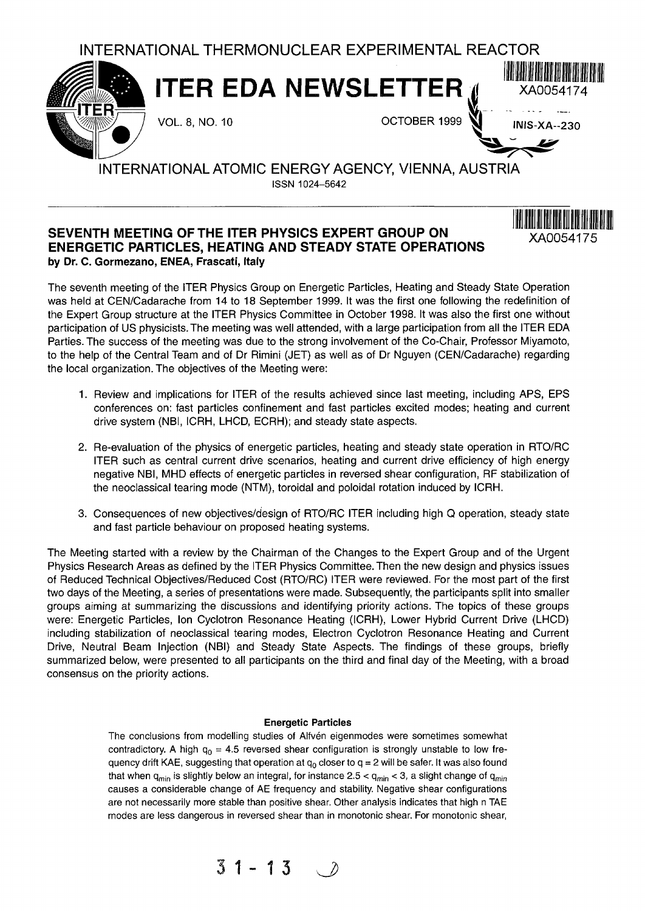

 $\textbf{ITER}$  **EDA NEWSLETTER**  $\textbf{M}$   $\textbf{N}$   $\textbf{N}$   $\textbf{N}$   $\textbf{N}$   $\textbf{N}$   $\textbf{N}$   $\textbf{N}$   $\textbf{N}$   $\textbf{N}$   $\textbf{N}$   $\textbf{N}$   $\textbf{N}$   $\textbf{N}$   $\textbf{N}$   $\textbf{N}$   $\textbf{N}$   $\textbf{N}$   $\textbf{N}$   $\textbf{N}$   $\textbf{N}$   $\textbf{N$ 

VOL. 8, NO. 10  $OCTOBER 1999$  INIS-XA--230

**XA0054175**

# INTERNATIONAL ATOMIC ENERGY AGENCY, VIENNA, AUSTRIA ISSN 1024-5642

# **SEVENTH MEETING OF THE ITER PHYSICS EXPERT GROUP ON ENERGETIC PARTICLES, HEATING AND STEADY STATE OPERATIONS by Dr. C. Gormezano, ENEA, Frascati, Italy**

The seventh meeting of the ITER Physics Group on Energetic Particles, Heating and Steady State Operation was held at CEN/Cadarache from 14 to 18 September 1999. It was the first one following the redefinition of the Expert Group structure at the ITER Physics Committee in October 1998. It was also the first one without participation of US physicists. The meeting was well attended, with a large participation from all the ITER EDA Parties. The success of the meeting was due to the strong involvement of the Co-Chair, Professor Miyamoto, to the help of the Central Team and of Dr Rimini (JET) as well as of Dr Nguyen (CEN/Cadarache) regarding the local organization. The objectives of the Meeting were:

- 1. Review and implications for ITER of the results achieved since last meeting, including APS, EPS conferences on: fast particles confinement and fast particles excited modes; heating and current drive system (NBI, ICRH, LHCD, ECRH); and steady state aspects.
- 2. Re-evaluation of the physics of energetic particles, heating and steady state operation in RTO/RC ITER such as central current drive scenarios, heating and current drive efficiency of high energy negative NBI, MHD effects of energetic particles in reversed shear configuration, RF stabilization of the neoclassical tearing mode (NTM), toroidal and poloidal rotation induced by ICRH.
- 3. Consequences of new objectives/design of RTO/RC ITER including high Q operation, steady state and fast particle behaviour on proposed heating systems.

The Meeting started with a review by the Chairman of the Changes to the Expert Group and of the Urgent Physics Research Areas as defined by the ITER Physics Committee. Then the new design and physics issues of Reduced Technical Objectives/Reduced Cost (RTO/RC) ITER were reviewed. For the most part of the first two days of the Meeting, a series of presentations were made. Subsequently, the participants split into smaller groups aiming at summarizing the discussions and identifying priority actions. The topics of these groups were: Energetic Particles, Ion Cyclotron Resonance Heating (ICRH), Lower Hybrid Current Drive (LHCD) including stabilization of neoclassical tearing modes, Electron Cyclotron Resonance Heating and Current Drive, Neutral Beam Injection (NBI) and Steady State Aspects. The findings of these groups, briefly summarized below, were presented to all participants on the third and final day of the Meeting, with a broad consensus on the priority actions.

### **Energetic Particles**

The conclusions from modelling studies of Alfvén eigenmodes were sometimes somewhat contradictory. A high  $q_0 = 4.5$  reversed shear configuration is strongly unstable to low frequency drift KAE, suggesting that operation at  $q_0$  closer to  $q = 2$  will be safer. It was also found that when  $q_{min}$  is slightly below an integral, for instance 2.5 <  $q_{min}$  < 3, a slight change of  $q_{min}$ causes a considerable change of AE frequency and stability. Negative shear configurations are not necessarily more stable than positive shear. Other analysis indicates that high n TAE modes are less dangerous in reversed shear than in monotonic shear. For monotonic shear,

$$
31 - 13 \quad \circledcirc
$$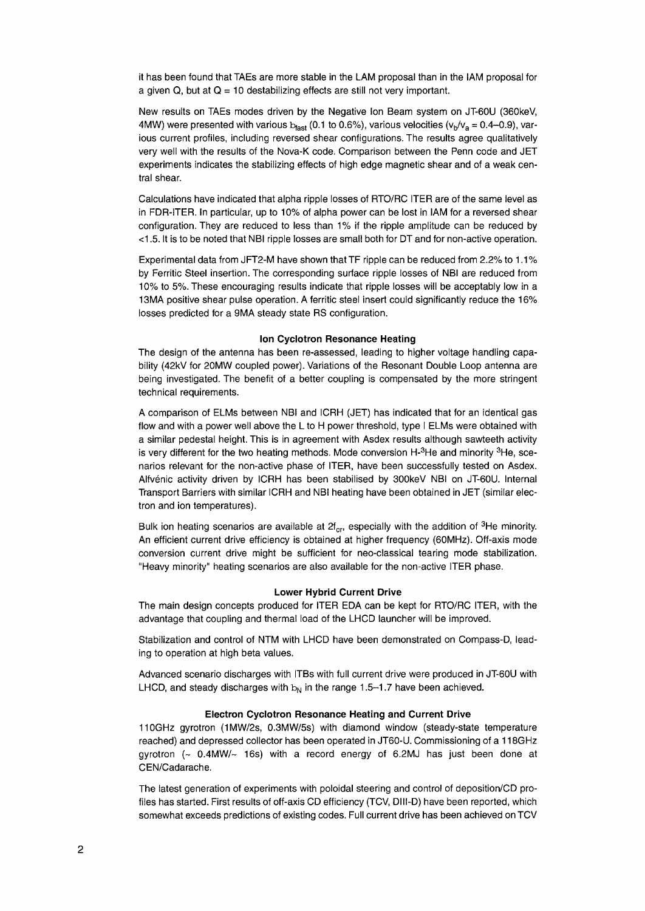it has been found that TAEs are more stable in the LAM proposal than in the IAM proposal for a given Q, but at  $Q = 10$  destabilizing effects are still not very important.

New results on TAEs modes driven by the Negative Ion Beam system on JT-60U (360keV, 4MW) were presented with various  $b_{\text{fast}}$  (0.1 to 0.6%), various velocities ( $v_{\text{b}}/v_{\text{a}} = 0.4$ -0.9), various current profiles, including reversed shear configurations. The results agree qualitatively very well with the results of the Nova-K code. Comparison between the Penn code and JET experiments indicates the stabilizing effects of high edge magnetic shear and of a weak central shear.

Calculations have indicated that alpha ripple losses of RTO/RC ITER are of the same level as in FDR-ITER. In particular, up to 10% of alpha power can be lost in IAM for a reversed shear configuration. They are reduced to less than 1% if the ripple amplitude can be reduced by <1.5. It is to be noted that NBI ripple losses are small both for DT and for non-active operation.

Experimental data from JFT2-M have shown that TF ripple can be reduced from 2.2% to 1.1% by Ferritic Steel insertion. The corresponding surface ripple losses of NBI are reduced from 10% to 5%. These encouraging results indicate that ripple losses will be acceptably low in a 13MA positive shear pulse operation. A ferritic steel insert could significantly reduce the 16% losses predicted for a 9MA steady state RS configuration.

#### **Ion Cyclotron Resonance Heating**

The design of the antenna has been re-assessed, leading to higher voltage handling capability (42kV for 20MW coupled power). Variations of the Resonant Double Loop antenna are being investigated. The benefit of a better coupling is compensated by the more stringent technical requirements.

A comparison of ELMs between NBI and ICRH (JET) has indicated that for an identical gas flow and with a power well above the L to H power threshold, type I ELMs were obtained with a similar pedestal height. This is in agreement with Asdex results although sawteeth activity is very different for the two heating methods. Mode conversion H-<sup>3</sup>He and minority <sup>3</sup>He, scenarios relevant for the non-active phase of ITER, have been successfully tested on Asdex. Alfvenic activity driven by ICRH has been stabilised by 300keV NBI on JT-60U. Internal Transport Barriers with similar ICRH and NBI heating have been obtained in JET (similar electron and ion temperatures).

Bulk ion heating scenarios are available at 2f<sub>cr</sub>, especially with the addition of <sup>3</sup>He minority. An efficient current drive efficiency is obtained at higher frequency (60MHz). Off-axis mode conversion current drive might be sufficient for neo-classical tearing mode stabilization. "Heavy minority" heating scenarios are also available for the non-active ITER phase.

#### **Lower Hybrid Current Drive**

The main design concepts produced for ITER EDA can be kept for RTO/RC ITER, with the advantage that coupling and thermal load of the LHCD launcher will be improved.

Stabilization and control of NTM with LHCD have been demonstrated on Compass-D, leading to operation at high beta values.

Advanced scenario discharges with ITBs with full current drive were produced in JT-60U with LHCD, and steady discharges with  $b_N$  in the range 1.5-1.7 have been achieved.

#### **Electron Cyclotron Resonance Heating and Current Drive**

110GHz gyrotron (1MW/2s, 0.3MW/5s) with diamond window (steady-state temperature reached) and depressed collector has been operated in JT60-U. Commissioning of a 118GHz gyrotron ( $\sim$  0.4MW/ $\sim$  16s) with a record energy of 6.2MJ has just been done at CEN/Cadarache.

The latest generation of experiments with poloidal steering and control of deposition/CD profiles has started. First results of off-axis CD efficiency (TCV, Dlll-D) have been reported, which somewhat exceeds predictions of existing codes. Full current drive has been achieved on TCV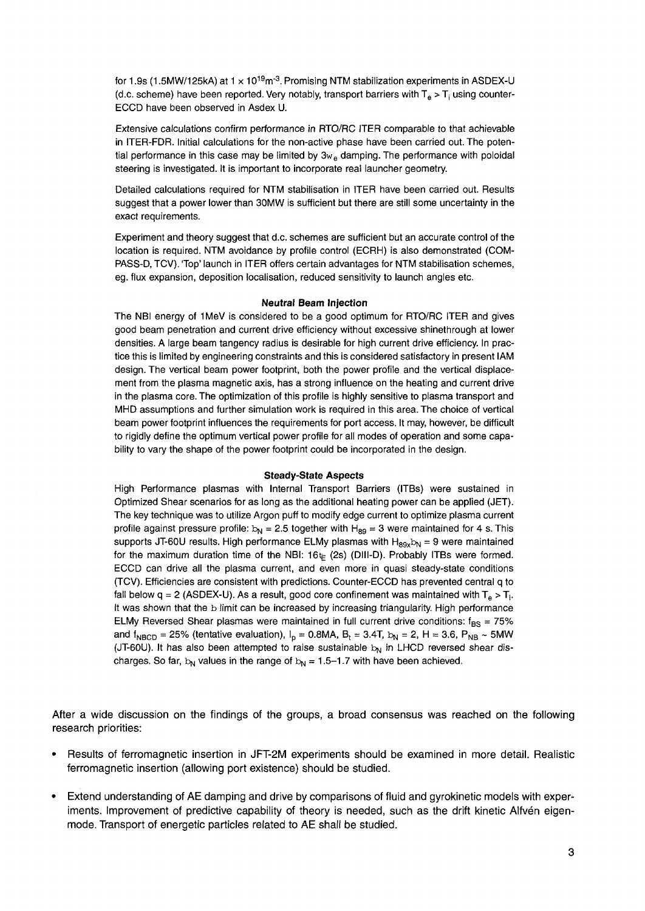for 1.9s (1.5MW/125kA) at 1  $\times$  10<sup>19</sup>m<sup>-3</sup>. Promising NTM stabilization experiments in ASDEX-U (d.c. scheme) have been reported. Very notably, transport barriers with  $T_e > T_i$  using counter-ECCD have been observed in Asdex U.

Extensive calculations confirm performance in RTO/RC ITER comparable to that achievable in ITER-FDR. Initial calculations for the non-active phase have been carried out. The potential performance in this case may be limited by  $3w<sub>e</sub>$  damping. The performance with poloidal steering is investigated. It is important to incorporate real launcher geometry.

Detailed calculations required for NTM stabilisation in ITER have been carried out. Results suggest that a power lower than 30MW is sufficient but there are still some uncertainty in the exact requirements.

Experiment and theory suggest that d.c. schemes are sufficient but an accurate control of the location is required. NTM avoidance by profile control (ECRH) is also demonstrated (COM-PASS-D, TCV). 'Top' launch in ITER offers certain advantages for NTM stabilisation schemes, eg. flux expansion, deposition localisation, reduced sensitivity to launch angles etc.

#### **Neutral Beam Injection**

The NBI energy of 1MeV is considered to be a good optimum for RTO/RC ITER and gives good beam penetration and current drive efficiency without excessive shinethrough at lower densities. A large beam tangency radius is desirable for high current drive efficiency. In practice this is limited by engineering constraints and this is considered satisfactory in present IAM design. The vertical beam power footprint, both the power profile and the vertical displacement from the plasma magnetic axis, has a strong influence on the heating and current drive in the plasma core. The optimization of this profile is highly sensitive to plasma transport and MHD assumptions and further simulation work is required in this area. The choice of vertical beam power footprint influences the requirements for port access. It may, however, be difficult to rigidly define the optimum vertical power profile for all modes of operation and some capability to vary the shape of the power footprint could be incorporated in the design.

#### **Steady-State Aspects**

High Performance plasmas with Internal Transport Barriers (ITBs) were sustained in Optimized Shear scenarios for as long as the additional heating power can be applied (JET). The key technique was to utilize Argon puff to modify edge current to optimize plasma current profile against pressure profile:  $b_N = 2.5$  together with H<sub>89</sub> = 3 were maintained for 4 s. This supports JT-60U results. High performance ELMy plasmas with  $H_{89x}b_N = 9$  were maintained for the maximum duration time of the NBI:  $16 \not\in (2s)$  (DIII-D). Probably ITBs were formed. ECCD can drive all the plasma current, and even more in quasi steady-state conditions (TCV). Efficiencies are consistent with predictions. Counter-ECCD has prevented central q to fall below q = 2 (ASDEX-U). As a result, good core confinement was maintained with  $T_e > T_i$ . It was shown that the b limit can be increased by increasing triangularity. High performance ELMy Reversed Shear plasmas were maintained in full current drive conditions:  $f_{BS} = 75\%$ and f<sub>NBCD</sub> = 25% (tentative evaluation),  $I_p = 0.8MA$ ,  $B_t = 3.4T$ ,  $b_N = 2$ , H = 3.6, P<sub>NB</sub> ~ 5MW (JT-60U). It has also been attempted to raise sustainable  $b<sub>N</sub>$  in LHCD reversed shear discharges. So far,  $b_N$  values in the range of  $b_N = 1.5-1.7$  with have been achieved.

After a wide discussion on the findings of the groups, a broad consensus was reached on the following research priorities:

- Results of ferromagnetic insertion in JFT-2M experiments should be examined in more detail. Realistic ferromagnetic insertion (allowing port existence) should be studied.
- Extend understanding of AE damping and drive by comparisons of fluid and gyrokinetic models with experiments. Improvement of predictive capability of theory is needed, such as the drift kinetic Alfvén eigenmode. Transport of energetic particles related to AE shall be studied.